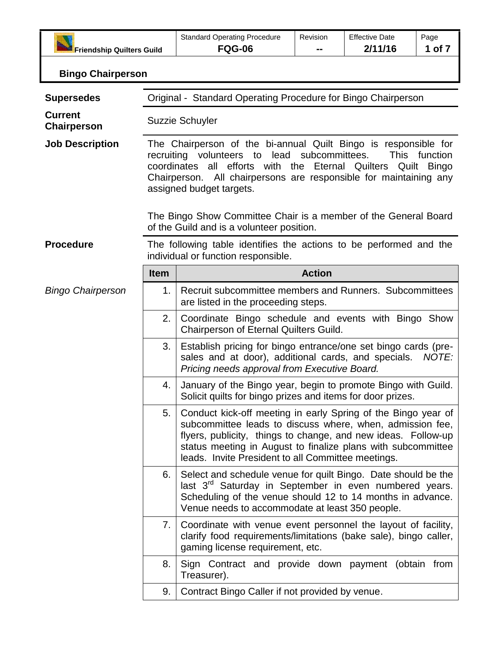|                                      |             | <b>Standard Operating Procedure</b><br><b>FQG-06</b>                                                                                                                                                                                                                                                              | Revision      | <b>Effective Date</b><br>2/11/16 | Page<br>1 of 7                |
|--------------------------------------|-------------|-------------------------------------------------------------------------------------------------------------------------------------------------------------------------------------------------------------------------------------------------------------------------------------------------------------------|---------------|----------------------------------|-------------------------------|
| <b>Friendship Quilters Guild</b>     |             |                                                                                                                                                                                                                                                                                                                   |               |                                  |                               |
| <b>Bingo Chairperson</b>             |             |                                                                                                                                                                                                                                                                                                                   |               |                                  |                               |
| <b>Supersedes</b>                    |             | Original - Standard Operating Procedure for Bingo Chairperson                                                                                                                                                                                                                                                     |               |                                  |                               |
| <b>Current</b><br><b>Chairperson</b> |             | <b>Suzzie Schuyler</b>                                                                                                                                                                                                                                                                                            |               |                                  |                               |
| <b>Job Description</b>               |             | The Chairperson of the bi-annual Quilt Bingo is responsible for<br>recruiting volunteers to lead subcommittees.<br>coordinates all efforts with the Eternal Quilters<br>Chairperson. All chairpersons are responsible for maintaining any<br>assigned budget targets.                                             |               | Quilt                            | This function<br><b>Bingo</b> |
|                                      |             | The Bingo Show Committee Chair is a member of the General Board<br>of the Guild and is a volunteer position.                                                                                                                                                                                                      |               |                                  |                               |
| <b>Procedure</b>                     |             | The following table identifies the actions to be performed and the<br>individual or function responsible.                                                                                                                                                                                                         |               |                                  |                               |
|                                      | <b>Item</b> |                                                                                                                                                                                                                                                                                                                   | <b>Action</b> |                                  |                               |
| <b>Bingo Chairperson</b>             | 1.          | Recruit subcommittee members and Runners. Subcommittees<br>are listed in the proceeding steps.                                                                                                                                                                                                                    |               |                                  |                               |
|                                      | 2.          | Coordinate Bingo schedule and events with Bingo Show<br>Chairperson of Eternal Quilters Guild.                                                                                                                                                                                                                    |               |                                  |                               |
|                                      | 3.          | Establish pricing for bingo entrance/one set bingo cards (pre-<br>sales and at door), additional cards, and specials.<br>Pricing needs approval from Executive Board.                                                                                                                                             |               |                                  | NOTE:                         |
|                                      | 4.          | January of the Bingo year, begin to promote Bingo with Guild.<br>Solicit quilts for bingo prizes and items for door prizes.                                                                                                                                                                                       |               |                                  |                               |
|                                      | 5.          | Conduct kick-off meeting in early Spring of the Bingo year of<br>subcommittee leads to discuss where, when, admission fee,<br>flyers, publicity, things to change, and new ideas. Follow-up<br>status meeting in August to finalize plans with subcommittee<br>leads. Invite President to all Committee meetings. |               |                                  |                               |
|                                      | 6.          | Select and schedule venue for quilt Bingo. Date should be the<br>last 3 <sup>rd</sup> Saturday in September in even numbered years.<br>Scheduling of the venue should 12 to 14 months in advance.<br>Venue needs to accommodate at least 350 people.                                                              |               |                                  |                               |
|                                      | 7.          | Coordinate with venue event personnel the layout of facility,<br>clarify food requirements/limitations (bake sale), bingo caller,<br>gaming license requirement, etc.                                                                                                                                             |               |                                  |                               |
|                                      | 8.          | Sign Contract and provide down payment (obtain from<br>Treasurer).                                                                                                                                                                                                                                                |               |                                  |                               |
|                                      | 9.          | Contract Bingo Caller if not provided by venue.                                                                                                                                                                                                                                                                   |               |                                  |                               |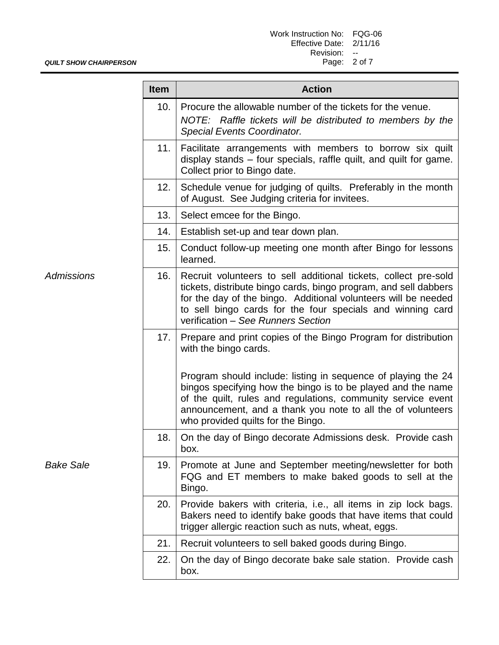| Work Instruction No: FQG-06 |       |
|-----------------------------|-------|
| Effective Date: 2/11/16     |       |
| Revision:                   | $- -$ |
| Page: 2 of 7                |       |

# *QUILT SHOW CHAIRPERSON*

|            | <b>Item</b> | <b>Action</b>                                                                                                                                                                                                                                                                                                                                           |
|------------|-------------|---------------------------------------------------------------------------------------------------------------------------------------------------------------------------------------------------------------------------------------------------------------------------------------------------------------------------------------------------------|
|            | 10.         | Procure the allowable number of the tickets for the venue.<br>NOTE: Raffle tickets will be distributed to members by the<br><b>Special Events Coordinator.</b>                                                                                                                                                                                          |
|            | 11.         | Facilitate arrangements with members to borrow six quilt<br>display stands - four specials, raffle quilt, and quilt for game.<br>Collect prior to Bingo date.                                                                                                                                                                                           |
|            | 12.         | Schedule venue for judging of quilts. Preferably in the month<br>of August. See Judging criteria for invitees.                                                                                                                                                                                                                                          |
|            | 13.         | Select emcee for the Bingo.                                                                                                                                                                                                                                                                                                                             |
|            | 14.         | Establish set-up and tear down plan.                                                                                                                                                                                                                                                                                                                    |
|            | 15.         | Conduct follow-up meeting one month after Bingo for lessons<br>learned.                                                                                                                                                                                                                                                                                 |
| Admissions | 16.         | Recruit volunteers to sell additional tickets, collect pre-sold<br>tickets, distribute bingo cards, bingo program, and sell dabbers<br>for the day of the bingo. Additional volunteers will be needed<br>to sell bingo cards for the four specials and winning card<br>verification - See Runners Section                                               |
|            | 17.         | Prepare and print copies of the Bingo Program for distribution<br>with the bingo cards.<br>Program should include: listing in sequence of playing the 24<br>bingos specifying how the bingo is to be played and the name<br>of the quilt, rules and regulations, community service event<br>announcement, and a thank you note to all the of volunteers |
|            | 18.         | who provided quilts for the Bingo.<br>On the day of Bingo decorate Admissions desk. Provide cash<br>box.                                                                                                                                                                                                                                                |
| Bake Sale  | 19.         | Promote at June and September meeting/newsletter for both<br>FQG and ET members to make baked goods to sell at the<br>Bingo.                                                                                                                                                                                                                            |
|            | 20.         | Provide bakers with criteria, i.e., all items in zip lock bags.<br>Bakers need to identify bake goods that have items that could<br>trigger allergic reaction such as nuts, wheat, eggs.                                                                                                                                                                |
|            | 21.         | Recruit volunteers to sell baked goods during Bingo.                                                                                                                                                                                                                                                                                                    |
|            | 22.         | On the day of Bingo decorate bake sale station. Provide cash<br>box.                                                                                                                                                                                                                                                                                    |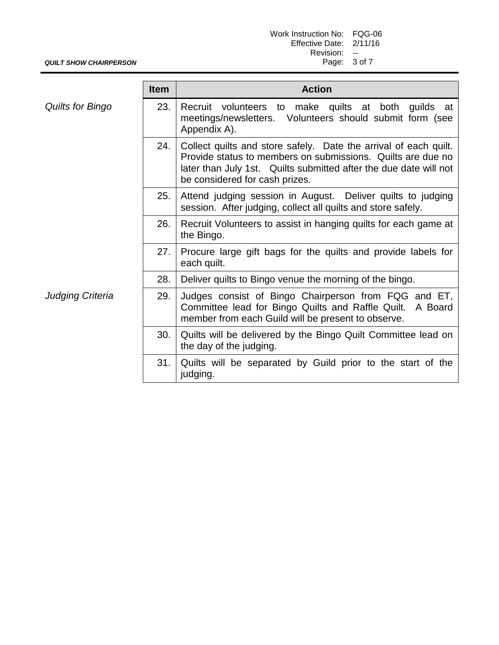| Work Instruction No:    | FQG-06 |
|-------------------------|--------|
| Effective Date: 2/11/16 |        |
| Revision:               |        |
| Page: 3 of 7            |        |

### **Item Action** *Quilts for Bingo* 23. Recruit volunteers to make quilts at both guilds at meetings/newsletters. Volunteers should submit form (see Appendix A). 24. Collect quilts and store safely. Date the arrival of each quilt. Provide status to members on submissions. Quilts are due no later than July 1st. Quilts submitted after the due date will not be considered for cash prizes. 25. Attend judging session in August. Deliver quilts to judging session. After judging, collect all quilts and store safely. 26. Recruit Volunteers to assist in hanging quilts for each game at the Bingo. 27. | Procure large gift bags for the quilts and provide labels for each quilt. 28. Deliver quilts to Bingo venue the morning of the bingo. *Judging Criteria* 1 29. Judges consist of Bingo Chairperson from FQG and ET, Committee lead for Bingo Quilts and Raffle Quilt. A Board member from each Guild will be present to observe. 30. | Quilts will be delivered by the Bingo Quilt Committee lead on the day of the judging. 31. Quilts will be separated by Guild prior to the start of the judging.

*QUILT SHOW CHAIRPERSON*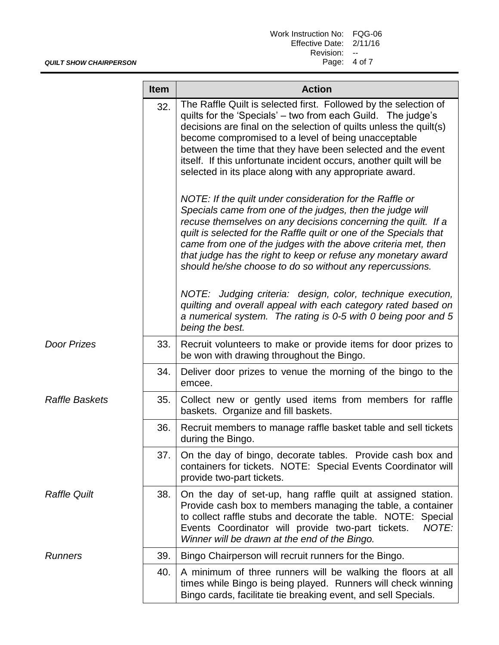|                       | <b>Item</b> | <b>Action</b>                                                                                                                                                                                                                                                                                                                                                                                                                                                                                                             |
|-----------------------|-------------|---------------------------------------------------------------------------------------------------------------------------------------------------------------------------------------------------------------------------------------------------------------------------------------------------------------------------------------------------------------------------------------------------------------------------------------------------------------------------------------------------------------------------|
|                       | 32.         | The Raffle Quilt is selected first. Followed by the selection of<br>quilts for the 'Specials' - two from each Guild. The judge's<br>decisions are final on the selection of quilts unless the quilt(s)<br>become compromised to a level of being unacceptable<br>between the time that they have been selected and the event<br>itself. If this unfortunate incident occurs, another quilt will be<br>selected in its place along with any appropriate award.<br>NOTE: If the quilt under consideration for the Raffle or |
|                       |             | Specials came from one of the judges, then the judge will<br>recuse themselves on any decisions concerning the quilt. If a<br>quilt is selected for the Raffle quilt or one of the Specials that<br>came from one of the judges with the above criteria met, then<br>that judge has the right to keep or refuse any monetary award<br>should he/she choose to do so without any repercussions.                                                                                                                            |
|                       |             | NOTE: Judging criteria: design, color, technique execution,<br>quilting and overall appeal with each category rated based on<br>a numerical system. The rating is 0-5 with 0 being poor and 5<br>being the best.                                                                                                                                                                                                                                                                                                          |
| <b>Door Prizes</b>    | 33.         | Recruit volunteers to make or provide items for door prizes to<br>be won with drawing throughout the Bingo.                                                                                                                                                                                                                                                                                                                                                                                                               |
|                       | 34.         | Deliver door prizes to venue the morning of the bingo to the<br>emcee.                                                                                                                                                                                                                                                                                                                                                                                                                                                    |
| <b>Raffle Baskets</b> | 35.         | Collect new or gently used items from members for raffle<br>baskets. Organize and fill baskets.                                                                                                                                                                                                                                                                                                                                                                                                                           |
|                       | 36.         | Recruit members to manage raffle basket table and sell tickets<br>during the Bingo.                                                                                                                                                                                                                                                                                                                                                                                                                                       |
|                       | 37.         | On the day of bingo, decorate tables. Provide cash box and<br>containers for tickets. NOTE: Special Events Coordinator will<br>provide two-part tickets.                                                                                                                                                                                                                                                                                                                                                                  |
| <b>Raffle Quilt</b>   | 38.         | On the day of set-up, hang raffle quilt at assigned station.<br>Provide cash box to members managing the table, a container<br>to collect raffle stubs and decorate the table. NOTE: Special<br>NOTE:<br>Events Coordinator will provide two-part tickets.<br>Winner will be drawn at the end of the Bingo.                                                                                                                                                                                                               |
| <b>Runners</b>        | 39.         | Bingo Chairperson will recruit runners for the Bingo.                                                                                                                                                                                                                                                                                                                                                                                                                                                                     |
|                       | 40.         | A minimum of three runners will be walking the floors at all<br>times while Bingo is being played. Runners will check winning<br>Bingo cards, facilitate tie breaking event, and sell Specials.                                                                                                                                                                                                                                                                                                                           |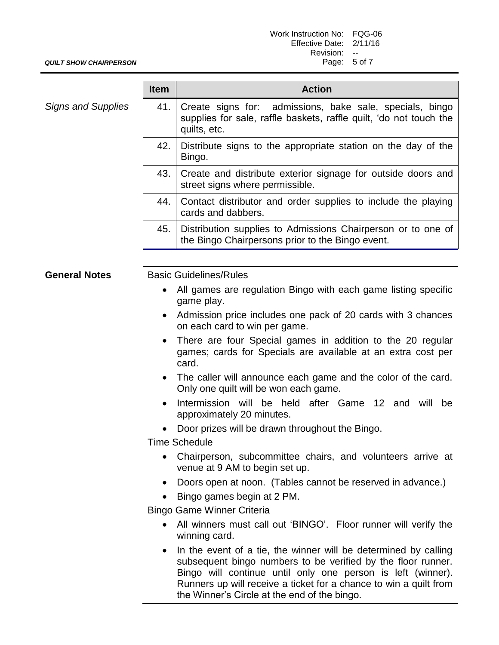# **Item Action** *Signs and Supplies* | 41. Create signs for: admissions, bake sale, specials, bingo supplies for sale, raffle baskets, raffle quilt, 'do not touch the quilts, etc. 42. Distribute signs to the appropriate station on the day of the Bingo. 43. Create and distribute exterior signage for outside doors and street signs where permissible. 44. Contact distributor and order supplies to include the playing cards and dabbers. 45. Distribution supplies to Admissions Chairperson or to one of the Bingo Chairpersons prior to the Bingo event. **General Notes** Basic Guidelines/Rules • All games are regulation Bingo with each game listing specific game play. Admission price includes one pack of 20 cards with 3 chances on each card to win per game. There are four Special games in addition to the 20 regular games; cards for Specials are available at an extra cost per card. The caller will announce each game and the color of the card. Only one quilt will be won each game. • Intermission will be held after Game 12 and will be approximately 20 minutes. • Door prizes will be drawn throughout the Bingo. Time Schedule Chairperson, subcommittee chairs, and volunteers arrive at venue at 9 AM to begin set up. • Doors open at noon. (Tables cannot be reserved in advance.) • Bingo games begin at 2 PM.

*QUILT SHOW CHAIRPERSON*

Bingo Game Winner Criteria

- All winners must call out 'BINGO'. Floor runner will verify the winning card.
- In the event of a tie, the winner will be determined by calling subsequent bingo numbers to be verified by the floor runner. Bingo will continue until only one person is left (winner). Runners up will receive a ticket for a chance to win a quilt from the Winner's Circle at the end of the bingo.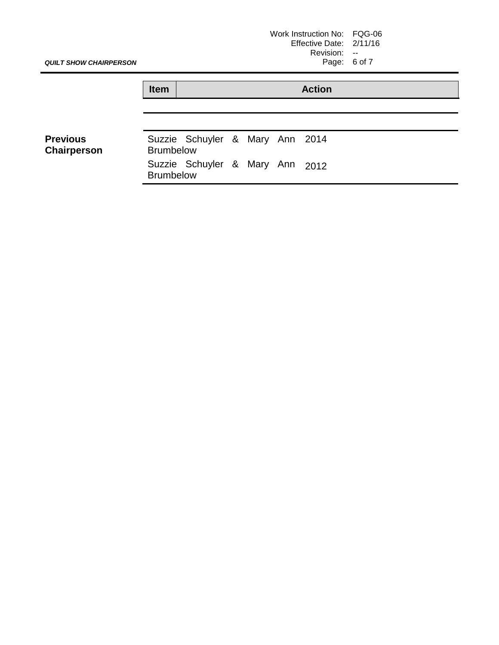| Work Instruction No:    | FQG-06 |
|-------------------------|--------|
| Effective Date: 2/11/16 |        |
| Revision:               | --     |
| Page: 6 of 7            |        |

*QUILT SHOW CHAIRPERSON*

**Item Action** 

| <b>Previous</b><br>Chairperson | <b>Brumbelow</b> | Suzzie Schuyler & Mary Ann 2014 |  |  |
|--------------------------------|------------------|---------------------------------|--|--|
|                                | <b>Brumbelow</b> | Suzzie Schuyler & Mary Ann 2012 |  |  |
|                                |                  |                                 |  |  |